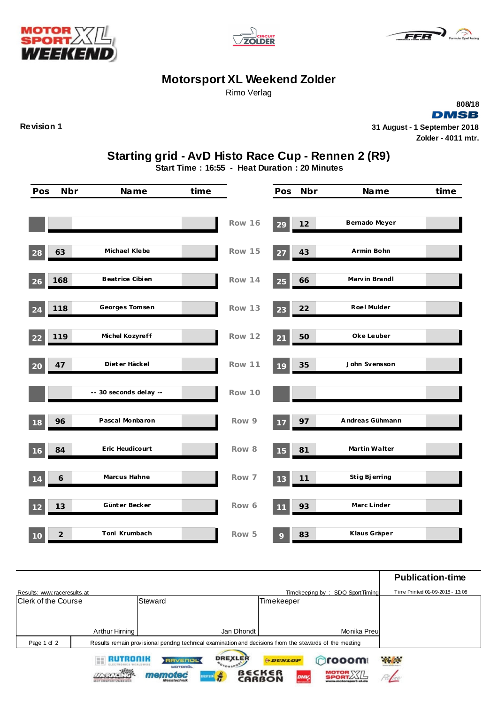





## **Motorsport XL Weekend Zolder**

Rimo Verlag

**DMSB Revision 1 31 August - 1 September 2018 Zolder - 4011 mtr.**

**808/18**

## **Starting grid - AvD Histo Race Cup - Rennen 2 (R9)**

**Start Time : 16:55 - Heat Duration : 20 Minutes**

| Pos | <b>Nbr</b>     | Name                   | time |               | Pos | Nbr | Name            | time |
|-----|----------------|------------------------|------|---------------|-----|-----|-----------------|------|
|     |                |                        |      | Row 16        | 29  | 12  | Bernado Meyer   |      |
| 28  | 63             | Michael Klebe          |      | Row 15        | 27  | 43  | Armin Bohn      |      |
| 26  | 168            | Beatrice Cibien        |      | <b>Row 14</b> | 25  | 66  | Marvin Brandl   |      |
| 24  | 118            | Georges Tomsen         |      | Row 13        | 23  | 22  | Roel Mulder     |      |
| 22  | 119            | Michel Kozyreff        |      | Row 12        | 21  | 50  | Oke Leuber      |      |
| 20  | 47             | Diet er Häckel         |      | Row 11        | 19  | 35  | John Svensson   |      |
|     |                | -- 30 seconds delay -- |      | Row 10        |     |     |                 |      |
| 18  | 96             | Pascal Monbaron        |      | Row 9         | 17  | 97  | Andreas Gühmann |      |
| 16  | 84             | Eric Heudicourt        |      | Row 8         | 15  | 81  | Martin Walter   |      |
| 14  | 6              | Marcus Hahne           |      | Row 7         | 13  | 11  | Stig Bjerring   |      |
| 12  | 13             | Günt er Becker         |      | Row 6         | 11  | 93  | Marc Linder     |      |
| 10  | $\overline{2}$ | Toni Krumbach          |      | Row 5         | 9   | 83  | Klaus Gräper    |      |

|                             |                                                                                                         |                                  |                                   |                                      |                                 | <b>Publication-time</b>         |
|-----------------------------|---------------------------------------------------------------------------------------------------------|----------------------------------|-----------------------------------|--------------------------------------|---------------------------------|---------------------------------|
| Results: www.raceresults.at |                                                                                                         |                                  |                                   |                                      | Timekeeping by: SDO SportTiming | Time Printed 01-09-2018 - 13:08 |
| Clerk of the Course         |                                                                                                         | Steward                          |                                   | Timekeeper                           |                                 |                                 |
|                             |                                                                                                         |                                  |                                   |                                      |                                 |                                 |
|                             |                                                                                                         |                                  |                                   |                                      |                                 |                                 |
|                             | Arthur Hirning                                                                                          |                                  | Jan Dhondt                        |                                      | Monika Preu                     |                                 |
| Page 1 of 2                 | Results remain provisional pending technical examination and decisions from the stewards of the meeting |                                  |                                   |                                      |                                 |                                 |
|                             | RUTRONIK                                                                                                | <b>RAVENOL</b><br><b>MOTOROL</b> | <b>DREXLER</b><br><b>NOTORSPO</b> | <b>ODUNLOP</b>                       | <b>Orooom</b>                   | <b>Philips</b>                  |
|                             |                                                                                                         | $-$ rec                          | ÷<br><b>BLSTEEN</b>               | B€CK∈R<br>DMV <sub>s</sub><br>CARRON | <b>MOTOR XXIL</b>               |                                 |